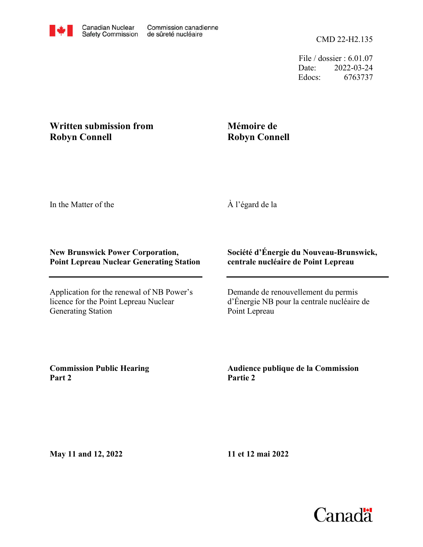File / dossier : 6.01.07 Date: 2022-03-24 Edocs: 6763737

## **Written submission from Robyn Connell**

## **Mémoire de Robyn Connell**

In the Matter of the

À l'égard de la

## **New Brunswick Power Corporation, Point Lepreau Nuclear Generating Station**

Application for the renewal of NB Power's licence for the Point Lepreau Nuclear Generating Station

## **Société d'Énergie du Nouveau-Brunswick, centrale nucléaire de Point Lepreau**

Demande de renouvellement du permis d'Énergie NB pour la centrale nucléaire de Point Lepreau

**Commission Public Hearing Part 2**

**Audience publique de la Commission Partie 2**

**May 11 and 12, 2022**

**11 et 12 mai 2022**